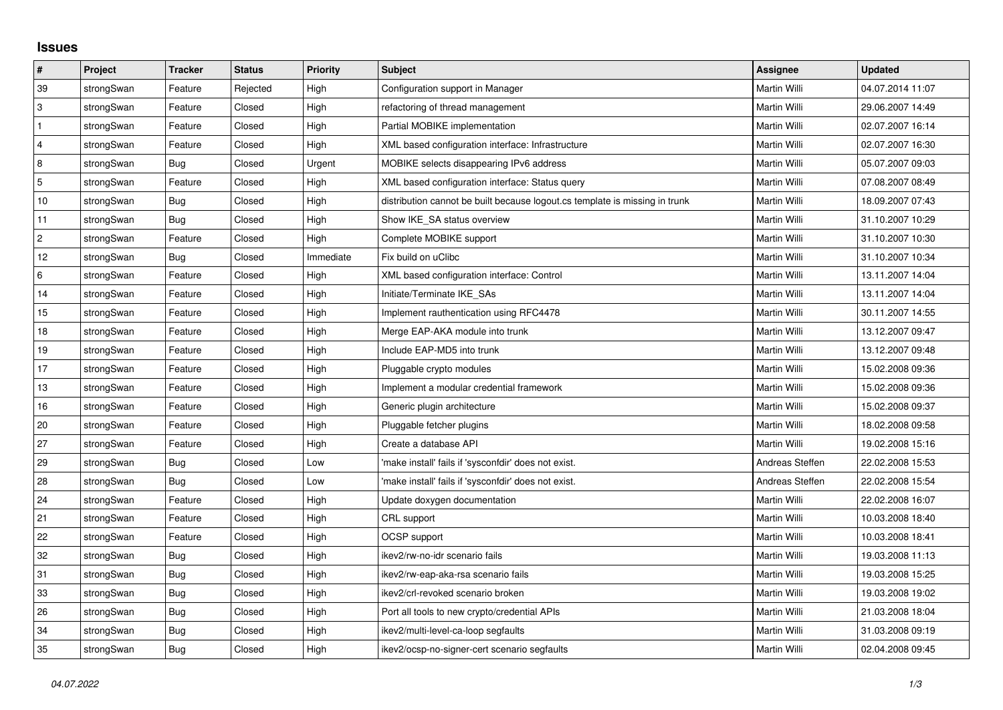## **Issues**

| $\vert$ #      | Project    | <b>Tracker</b> | <b>Status</b> | <b>Priority</b> | <b>Subject</b>                                                              | <b>Assignee</b> | <b>Updated</b>   |
|----------------|------------|----------------|---------------|-----------------|-----------------------------------------------------------------------------|-----------------|------------------|
| 39             | strongSwan | Feature        | Rejected      | High            | Configuration support in Manager                                            | Martin Willi    | 04.07.2014 11:07 |
| 3              | strongSwan | Feature        | Closed        | High            | refactoring of thread management                                            | Martin Willi    | 29.06.2007 14:49 |
| $\mathbf{1}$   | strongSwan | Feature        | Closed        | High            | Partial MOBIKE implementation                                               | Martin Willi    | 02.07.2007 16:14 |
| $\overline{4}$ | strongSwan | Feature        | Closed        | High            | XML based configuration interface: Infrastructure                           | Martin Willi    | 02.07.2007 16:30 |
| $\bf 8$        | strongSwan | Bug            | Closed        | Urgent          | MOBIKE selects disappearing IPv6 address                                    | Martin Willi    | 05.07.2007 09:03 |
| $\sqrt{5}$     | strongSwan | Feature        | Closed        | High            | XML based configuration interface: Status query                             | Martin Willi    | 07.08.2007 08:49 |
| 10             | strongSwan | <b>Bug</b>     | Closed        | High            | distribution cannot be built because logout.cs template is missing in trunk | Martin Willi    | 18.09.2007 07:43 |
| 11             | strongSwan | Bug            | Closed        | High            | Show IKE_SA status overview                                                 | Martin Willi    | 31.10.2007 10:29 |
| $\overline{c}$ | strongSwan | Feature        | Closed        | High            | Complete MOBIKE support                                                     | Martin Willi    | 31.10.2007 10:30 |
| 12             | strongSwan | Bug            | Closed        | Immediate       | Fix build on uClibc                                                         | Martin Willi    | 31.10.2007 10:34 |
| $\,6\,$        | strongSwan | Feature        | Closed        | High            | XML based configuration interface: Control                                  | Martin Willi    | 13.11.2007 14:04 |
| 14             | strongSwan | Feature        | Closed        | High            | Initiate/Terminate IKE_SAs                                                  | Martin Willi    | 13.11.2007 14:04 |
| 15             | strongSwan | Feature        | Closed        | High            | Implement rauthentication using RFC4478                                     | Martin Willi    | 30.11.2007 14:55 |
| 18             | strongSwan | Feature        | Closed        | High            | Merge EAP-AKA module into trunk                                             | Martin Willi    | 13.12.2007 09:47 |
| 19             | strongSwan | Feature        | Closed        | High            | Include EAP-MD5 into trunk                                                  | Martin Willi    | 13.12.2007 09:48 |
| 17             | strongSwan | Feature        | Closed        | High            | Pluggable crypto modules                                                    | Martin Willi    | 15.02.2008 09:36 |
| 13             | strongSwan | Feature        | Closed        | High            | Implement a modular credential framework                                    | Martin Willi    | 15.02.2008 09:36 |
| 16             | strongSwan | Feature        | Closed        | High            | Generic plugin architecture                                                 | Martin Willi    | 15.02.2008 09:37 |
| 20             | strongSwan | Feature        | Closed        | High            | Pluggable fetcher plugins                                                   | Martin Willi    | 18.02.2008 09:58 |
| 27             | strongSwan | Feature        | Closed        | High            | Create a database API                                                       | Martin Willi    | 19.02.2008 15:16 |
| 29             | strongSwan | Bug            | Closed        | Low             | 'make install' fails if 'sysconfdir' does not exist.                        | Andreas Steffen | 22.02.2008 15:53 |
| 28             | strongSwan | Bug            | Closed        | Low             | 'make install' fails if 'sysconfdir' does not exist.                        | Andreas Steffen | 22.02.2008 15:54 |
| 24             | strongSwan | Feature        | Closed        | High            | Update doxygen documentation                                                | Martin Willi    | 22.02.2008 16:07 |
| 21             | strongSwan | Feature        | Closed        | High            | CRL support                                                                 | Martin Willi    | 10.03.2008 18:40 |
| 22             | strongSwan | Feature        | Closed        | High            | <b>OCSP</b> support                                                         | Martin Willi    | 10.03.2008 18:41 |
| 32             | strongSwan | Bug            | Closed        | High            | ikev2/rw-no-idr scenario fails                                              | Martin Willi    | 19.03.2008 11:13 |
| 31             | strongSwan | Bug            | Closed        | High            | ikev2/rw-eap-aka-rsa scenario fails                                         | Martin Willi    | 19.03.2008 15:25 |
| 33             | strongSwan | Bug            | Closed        | High            | ikev2/crl-revoked scenario broken                                           | Martin Willi    | 19.03.2008 19:02 |
| 26             | strongSwan | Bug            | Closed        | High            | Port all tools to new crypto/credential APIs                                | Martin Willi    | 21.03.2008 18:04 |
| 34             | strongSwan | Bug            | Closed        | High            | ikev2/multi-level-ca-loop segfaults                                         | Martin Willi    | 31.03.2008 09:19 |
| 35             | strongSwan | <b>Bug</b>     | Closed        | High            | ikev2/ocsp-no-signer-cert scenario segfaults                                | Martin Willi    | 02.04.2008 09:45 |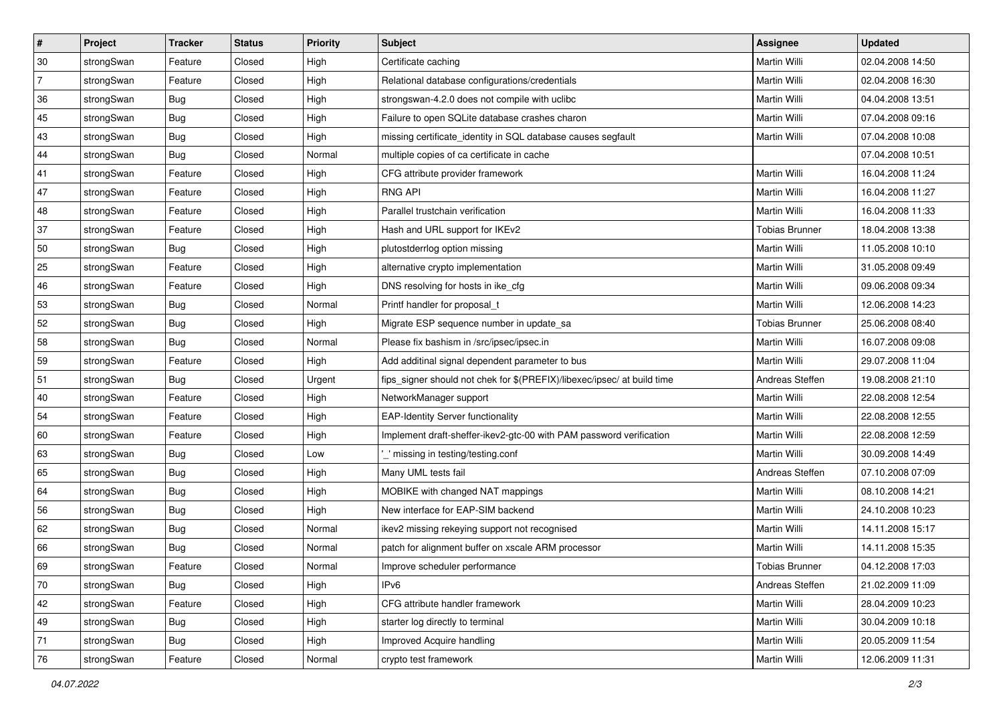| ∦              | Project    | <b>Tracker</b> | <b>Status</b> | <b>Priority</b> | <b>Subject</b>                                                          | <b>Assignee</b>       | <b>Updated</b>   |
|----------------|------------|----------------|---------------|-----------------|-------------------------------------------------------------------------|-----------------------|------------------|
| 30             | strongSwan | Feature        | Closed        | High            | Certificate caching                                                     | Martin Willi          | 02.04.2008 14:50 |
| $\overline{7}$ | strongSwan | Feature        | Closed        | High            | Relational database configurations/credentials                          | Martin Willi          | 02.04.2008 16:30 |
| 36             | strongSwan | Bug            | Closed        | High            | strongswan-4.2.0 does not compile with uclibc                           | Martin Willi          | 04.04.2008 13:51 |
| 45             | strongSwan | Bug            | Closed        | High            | Failure to open SQLite database crashes charon                          | <b>Martin Willi</b>   | 07.04.2008 09:16 |
| 43             | strongSwan | Bug            | Closed        | High            | missing certificate_identity in SQL database causes segfault            | <b>Martin Willi</b>   | 07.04.2008 10:08 |
| 44             | strongSwan | <b>Bug</b>     | Closed        | Normal          | multiple copies of ca certificate in cache                              |                       | 07.04.2008 10:51 |
| 41             | strongSwan | Feature        | Closed        | High            | CFG attribute provider framework                                        | Martin Willi          | 16.04.2008 11:24 |
| 47             | strongSwan | Feature        | Closed        | High            | <b>RNG API</b>                                                          | Martin Willi          | 16.04.2008 11:27 |
| 48             | strongSwan | Feature        | Closed        | High            | Parallel trustchain verification                                        | Martin Willi          | 16.04.2008 11:33 |
| 37             | strongSwan | Feature        | Closed        | High            | Hash and URL support for IKEv2                                          | <b>Tobias Brunner</b> | 18.04.2008 13:38 |
| 50             | strongSwan | Bug            | Closed        | High            | plutostderrlog option missing                                           | Martin Willi          | 11.05.2008 10:10 |
| 25             | strongSwan | Feature        | Closed        | High            | alternative crypto implementation                                       | <b>Martin Willi</b>   | 31.05.2008 09:49 |
| 46             | strongSwan | Feature        | Closed        | High            | DNS resolving for hosts in ike_cfg                                      | <b>Martin Willi</b>   | 09.06.2008 09:34 |
| 53             | strongSwan | Bug            | Closed        | Normal          | Printf handler for proposal_t                                           | Martin Willi          | 12.06.2008 14:23 |
| 52             | strongSwan | <b>Bug</b>     | Closed        | High            | Migrate ESP sequence number in update_sa                                | <b>Tobias Brunner</b> | 25.06.2008 08:40 |
| 58             | strongSwan | <b>Bug</b>     | Closed        | Normal          | Please fix bashism in /src/ipsec/ipsec.in                               | Martin Willi          | 16.07.2008 09:08 |
| 59             | strongSwan | Feature        | Closed        | High            | Add additinal signal dependent parameter to bus                         | <b>Martin Willi</b>   | 29.07.2008 11:04 |
| 51             | strongSwan | Bug            | Closed        | Urgent          | fips_signer should not chek for \$(PREFIX)/libexec/ipsec/ at build time | Andreas Steffen       | 19.08.2008 21:10 |
| 40             | strongSwan | Feature        | Closed        | High            | NetworkManager support                                                  | Martin Willi          | 22.08.2008 12:54 |
| 54             | strongSwan | Feature        | Closed        | High            | <b>EAP-Identity Server functionality</b>                                | Martin Willi          | 22.08.2008 12:55 |
| 60             | strongSwan | Feature        | Closed        | High            | Implement draft-sheffer-ikev2-gtc-00 with PAM password verification     | Martin Willi          | 22.08.2008 12:59 |
| 63             | strongSwan | <b>Bug</b>     | Closed        | Low             | ' missing in testing/testing.conf                                       | Martin Willi          | 30.09.2008 14:49 |
| 65             | strongSwan | Bug            | Closed        | High            | Many UML tests fail                                                     | Andreas Steffen       | 07.10.2008 07:09 |
| 64             | strongSwan | <b>Bug</b>     | Closed        | High            | MOBIKE with changed NAT mappings                                        | Martin Willi          | 08.10.2008 14:21 |
| 56             | strongSwan | <b>Bug</b>     | Closed        | High            | New interface for EAP-SIM backend                                       | Martin Willi          | 24.10.2008 10:23 |
| 62             | strongSwan | Bug            | Closed        | Normal          | ikev2 missing rekeying support not recognised                           | <b>Martin Willi</b>   | 14.11.2008 15:17 |
| 66             | strongSwan | Bug            | Closed        | Normal          | patch for alignment buffer on xscale ARM processor                      | Martin Willi          | 14.11.2008 15:35 |
| 69             | strongSwan | Feature        | Closed        | Normal          | Improve scheduler performance                                           | Tobias Brunner        | 04.12.2008 17:03 |
| 70             | strongSwan | Bug            | Closed        | High            | IPv6                                                                    | Andreas Steffen       | 21.02.2009 11:09 |
| 42             | strongSwan | Feature        | Closed        | High            | CFG attribute handler framework                                         | Martin Willi          | 28.04.2009 10:23 |
| 49             | strongSwan | Bug            | Closed        | High            | starter log directly to terminal                                        | Martin Willi          | 30.04.2009 10:18 |
| 71             | strongSwan | Bug            | Closed        | High            | Improved Acquire handling                                               | Martin Willi          | 20.05.2009 11:54 |
| 76             | strongSwan | Feature        | Closed        | Normal          | crypto test framework                                                   | Martin Willi          | 12.06.2009 11:31 |